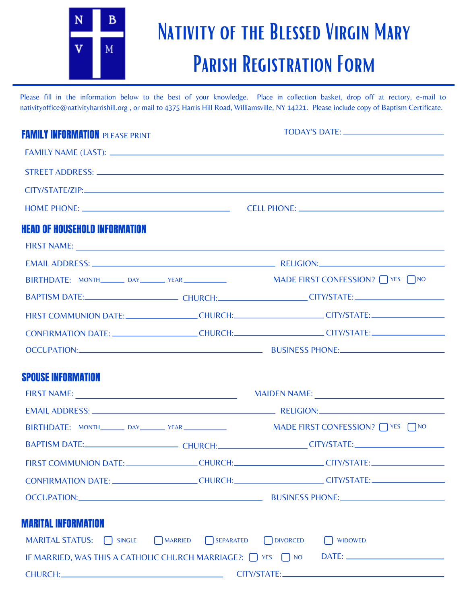

## NATIVITY OF THE BLESSED VIRGIN MARY Parish Registration Form

Please fill in the information below to the best of your knowledge. Place in collection basket, drop off at rectory, e-mail to nativityoffice@nativityharrishill.org , or mail to 4375 Harris Hill Road, Williamsville, NY 14221. Please include copy of Baptism Certificate.

| <b>FAMILY INFORMATION PLEASE PRINT</b> |                     |                                                                                                                |  |
|----------------------------------------|---------------------|----------------------------------------------------------------------------------------------------------------|--|
|                                        |                     |                                                                                                                |  |
|                                        |                     |                                                                                                                |  |
|                                        |                     |                                                                                                                |  |
|                                        |                     |                                                                                                                |  |
| <b>HEAD OF HOUSEHOLD INFORMATION</b>   |                     |                                                                                                                |  |
|                                        |                     |                                                                                                                |  |
|                                        |                     |                                                                                                                |  |
|                                        |                     |                                                                                                                |  |
|                                        |                     | BAPTISM DATE:_________________________________CHURCH:_________________________CITY/STATE:_____________________ |  |
|                                        |                     | FIRST COMMUNION DATE:_________________CHURCH:____________________CITY/STATE:________________________           |  |
|                                        |                     | CONFIRMATION DATE: CHURCH: CHURCH: CHEMICLE CITY/STATE:                                                        |  |
|                                        |                     | OCCUPATION: BUSINESS PHONE:                                                                                    |  |
|                                        |                     |                                                                                                                |  |
| <b>SPOUSE INFORMATION</b>              |                     |                                                                                                                |  |
|                                        |                     |                                                                                                                |  |
|                                        |                     |                                                                                                                |  |
|                                        |                     |                                                                                                                |  |
|                                        |                     | BAPTISM DATE:________________________________CHURCH:_______________________CITY/STATE:________________________ |  |
|                                        |                     | FIRST COMMUNION DATE:________________CHURCH:____________________CITY/STATE:_________________________           |  |
|                                        |                     | CONFIRMATION DATE: _______________________CHURCH:_______________________CITY/STATE:_________________           |  |
|                                        |                     |                                                                                                                |  |
|                                        |                     |                                                                                                                |  |
| <b>MARITAL INFORMATION</b>             |                     |                                                                                                                |  |
| MARITAL STATUS: SINGLE                 | SEPARATED<br>MARRED | <b>DIVORCED</b><br><b>WIDOWED</b>                                                                              |  |
|                                        |                     |                                                                                                                |  |
|                                        |                     |                                                                                                                |  |